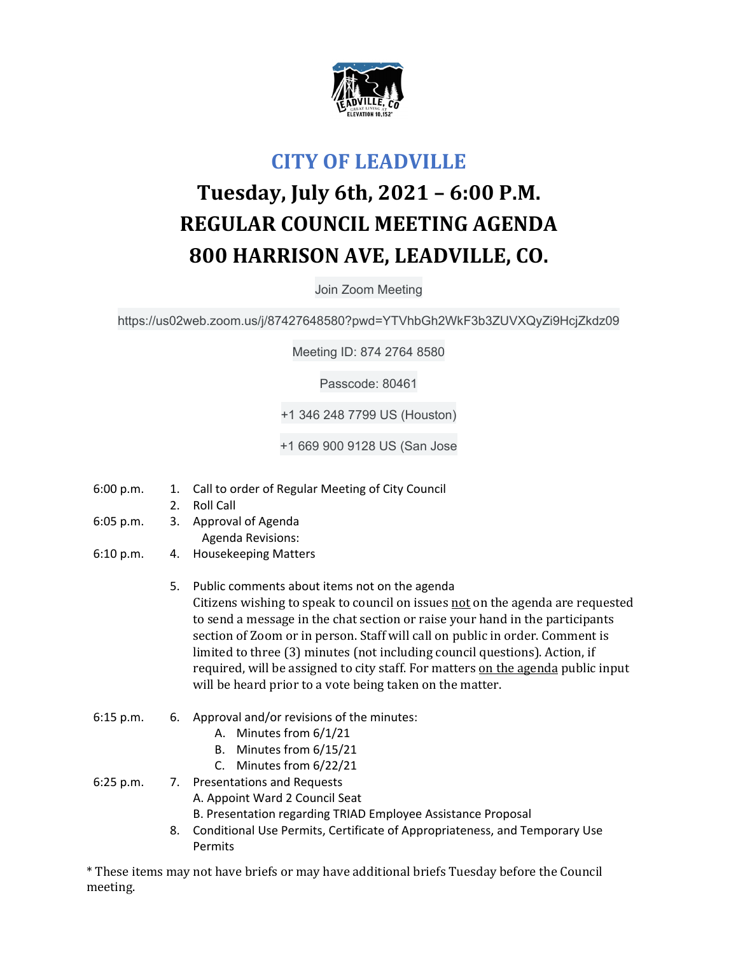

## **CITY OF LEADVILLE**

## **Tuesday, July 6th, 2021 – 6:00 P.M. REGULAR COUNCIL MEETING AGENDA 800 HARRISON AVE, LEADVILLE, CO.**

Join Zoom Meeting

https://us02web.zoom.us/j/87427648580?pwd=YTVhbGh2WkF3b3ZUVXQyZi9HcjZkdz09

Meeting ID: 874 2764 8580

Passcode: 80461

+1 346 248 7799 US (Houston)

+1 669 900 9128 US (San Jose

- 6:00 p.m. 1. Call to order of Regular Meeting of City Council
	- 2. Roll Call
- 6:05 p.m. 3. Approval of Agenda Agenda Revisions:
- 6:10 p.m. 4. Housekeeping Matters
	- 5. Public comments about items not on the agenda Citizens wishing to speak to council on issues not on the agenda are requested to send a message in the chat section or raise your hand in the participants section of Zoom or in person. Staff will call on public in order. Comment is limited to three (3) minutes (not including council questions). Action, if required, will be assigned to city staff. For matters on the agenda public input will be heard prior to a vote being taken on the matter.
- 6:15 p.m. 6. Approval and/or revisions of the minutes:
	- A. Minutes from 6/1/21
	- B. Minutes from 6/15/21
	- C. Minutes from 6/22/21

6:25 p.m. 7. Presentations and Requests

- A. Appoint Ward 2 Council Seat
- B. Presentation regarding TRIAD Employee Assistance Proposal
- 8. Conditional Use Permits, Certificate of Appropriateness, and Temporary Use Permits

\* These items may not have briefs or may have additional briefs Tuesday before the Council meeting.